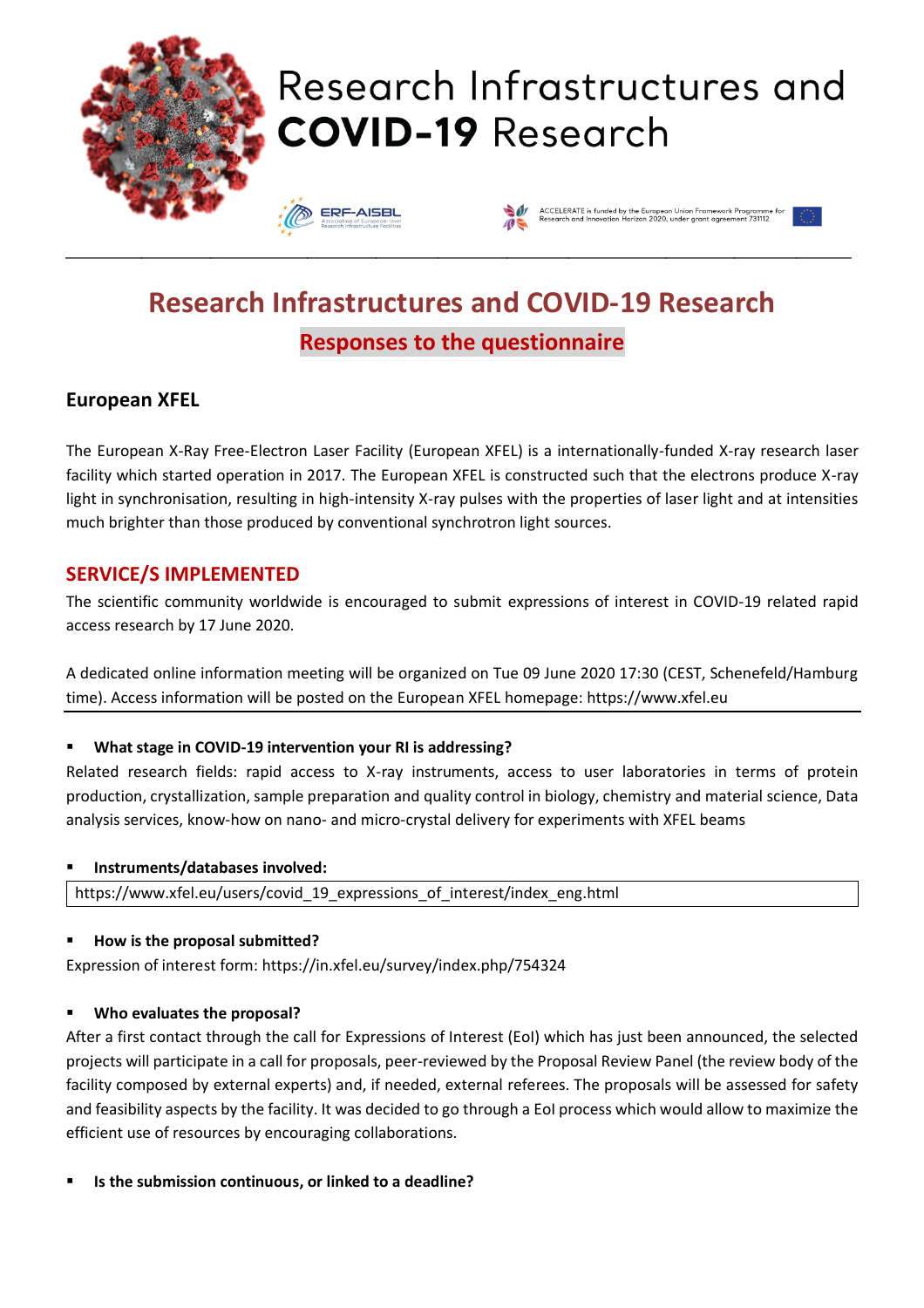

# Research Infrastructures and **COVID-19 Research**

**ERF-AISBL** 



# **Research Infrastructures and COVID-19 Research Responses to the questionnaire**

\_\_\_\_\_\_\_\_\_\_\_\_\_\_\_\_\_\_\_\_\_\_\_\_\_\_\_\_\_\_\_\_\_\_\_\_\_\_\_\_\_\_\_\_\_\_\_\_\_\_\_\_\_\_\_\_\_\_\_\_\_\_\_\_\_\_\_\_\_\_\_\_\_\_\_\_\_\_\_\_\_\_\_\_\_\_\_\_\_\_\_\_\_\_\_\_\_\_\_\_\_\_\_\_\_\_\_\_\_\_\_\_\_\_

# **European XFEL**

The European X-Ray Free-Electron Laser Facility (European XFEL) is a internationally-funded X-ray research laser facility which started operation in 2017. The European XFEL is constructed such that the electrons produce X-ray light in synchronisation, resulting in high-intensity X-ray pulses with the properties of laser light and at intensities much brighter than those produced by conventional synchrotron light sources.

# **SERVICE/S IMPLEMENTED**

The scientific community worldwide is encouraged to submit expressions of interest in COVID-19 related rapid access research by 17 June 2020.

A dedicated online information meeting will be organized on Tue 09 June 2020 17:30 (CEST, Schenefeld/Hamburg time). Access information will be posted on the European XFEL homepage: https://www.xfel.eu

### ▪ **What stage in COVID-19 intervention your RI is addressing?**

Related research fields: rapid access to X-ray instruments, access to user laboratories in terms of protein production, crystallization, sample preparation and quality control in biology, chemistry and material science, Data analysis services, know-how on nano- and micro-crystal delivery for experiments with XFEL beams

#### ▪ **Instruments/databases involved:**

https://www.xfel.eu/users/covid\_19\_expressions\_of\_interest/index\_eng.html

#### ▪ **How is the proposal submitted?**

Expression of interest form: https://in.xfel.eu/survey/index.php/754324

#### ▪ **Who evaluates the proposal?**

After a first contact through the call for Expressions of Interest (EoI) which has just been announced, the selected projects will participate in a call for proposals, peer-reviewed by the Proposal Review Panel (the review body of the facility composed by external experts) and, if needed, external referees. The proposals will be assessed for safety and feasibility aspects by the facility. It was decided to go through a EoI process which would allow to maximize the efficient use of resources by encouraging collaborations.

▪ **Is the submission continuous, or linked to a deadline?**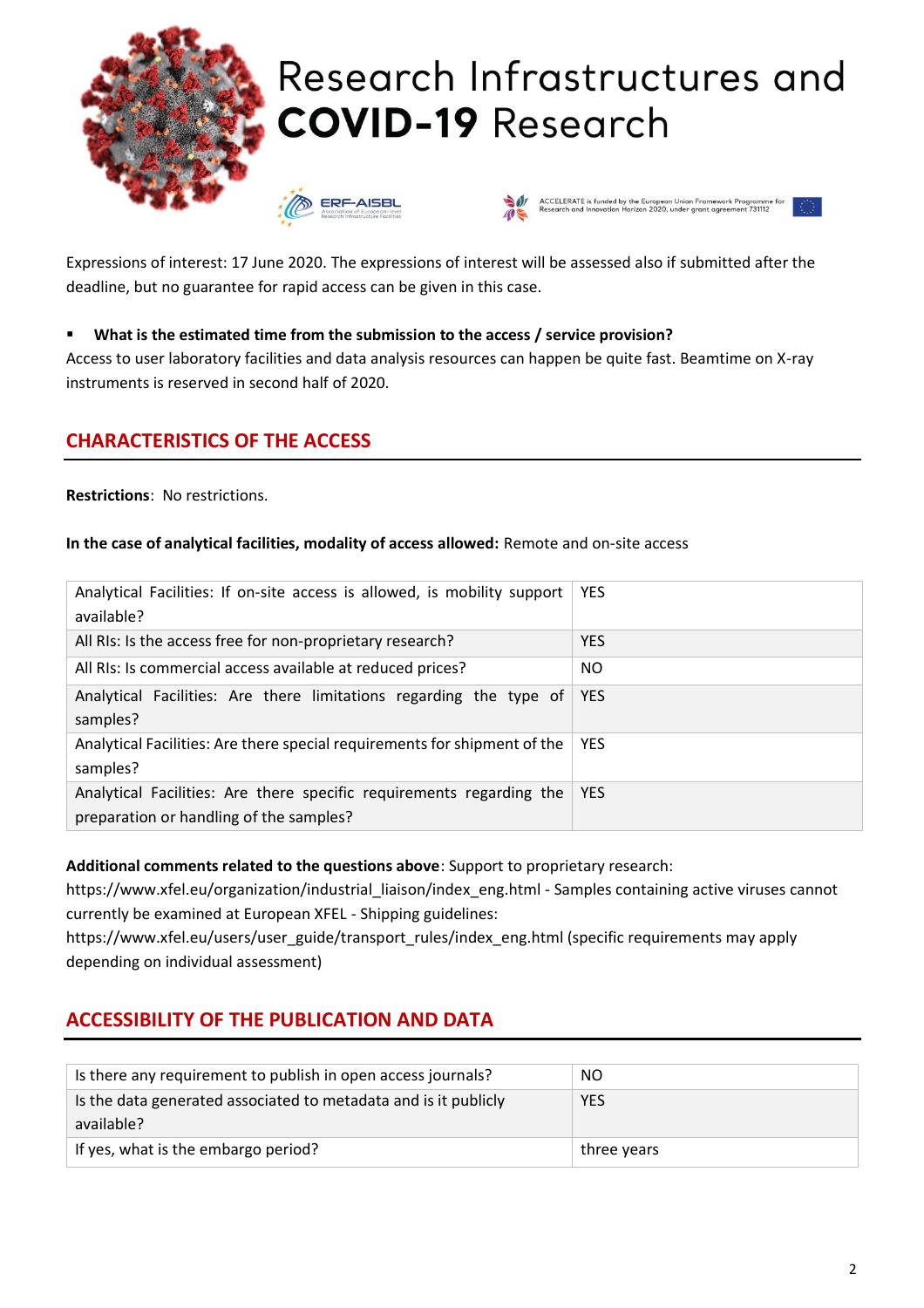

Expressions of interest: 17 June 2020. The expressions of interest will be assessed also if submitted after the deadline, but no guarantee for rapid access can be given in this case.

#### ▪ **What is the estimated time from the submission to the access / service provision?**

Access to user laboratory facilities and data analysis resources can happen be quite fast. Beamtime on X-ray instruments is reserved in second half of 2020.

# **CHARACTERISTICS OF THE ACCESS**

**Restrictions**: No restrictions.

#### **In the case of analytical facilities, modality of access allowed:** Remote and on-site access

| Analytical Facilities: If on-site access is allowed, is mobility support<br>available?                          | <b>YES</b> |
|-----------------------------------------------------------------------------------------------------------------|------------|
| All RIs: Is the access free for non-proprietary research?                                                       | <b>YES</b> |
| All RIs: Is commercial access available at reduced prices?                                                      | NO.        |
| Analytical Facilities: Are there limitations regarding the type of<br>samples?                                  | <b>YES</b> |
| Analytical Facilities: Are there special requirements for shipment of the<br>samples?                           | <b>YES</b> |
| Analytical Facilities: Are there specific requirements regarding the<br>preparation or handling of the samples? | <b>YES</b> |

#### **Additional comments related to the questions above**: Support to proprietary research:

https://www.xfel.eu/organization/industrial\_liaison/index\_eng.html - Samples containing active viruses cannot currently be examined at European XFEL - Shipping guidelines:

https://www.xfel.eu/users/user\_guide/transport\_rules/index\_eng.html (specific requirements may apply depending on individual assessment)

# **ACCESSIBILITY OF THE PUBLICATION AND DATA**

| Is there any requirement to publish in open access journals?                  | NO.         |
|-------------------------------------------------------------------------------|-------------|
| Is the data generated associated to metadata and is it publicly<br>available? | <b>YES</b>  |
| If yes, what is the embargo period?                                           | three years |